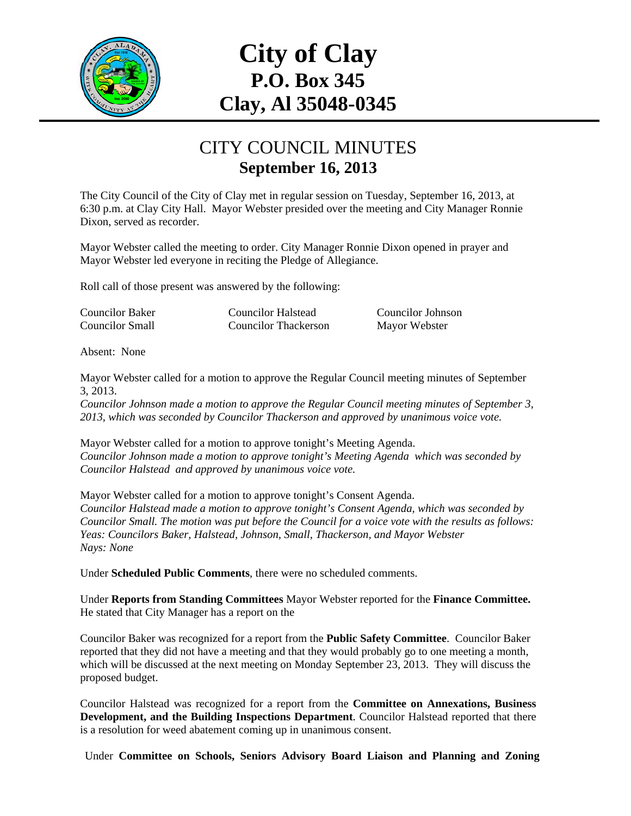

## **City of Clay P.O. Box 345 Clay, Al 35048-0345**

## CITY COUNCIL MINUTES **September 16, 2013**

The City Council of the City of Clay met in regular session on Tuesday, September 16, 2013, at 6:30 p.m. at Clay City Hall. Mayor Webster presided over the meeting and City Manager Ronnie Dixon, served as recorder.

Mayor Webster called the meeting to order. City Manager Ronnie Dixon opened in prayer and Mayor Webster led everyone in reciting the Pledge of Allegiance.

Roll call of those present was answered by the following:

Councilor Baker Councilor Halstead Councilor Johnson Councilor Small Councilor Thackerson Mayor Webster

Absent: None

Mayor Webster called for a motion to approve the Regular Council meeting minutes of September 3, 2013.

*Councilor Johnson made a motion to approve the Regular Council meeting minutes of September 3, 2013, which was seconded by Councilor Thackerson and approved by unanimous voice vote.* 

Mayor Webster called for a motion to approve tonight's Meeting Agenda. *Councilor Johnson made a motion to approve tonight's Meeting Agenda which was seconded by Councilor Halstead and approved by unanimous voice vote.* 

Mayor Webster called for a motion to approve tonight's Consent Agenda. *Councilor Halstead made a motion to approve tonight's Consent Agenda, which was seconded by Councilor Small. The motion was put before the Council for a voice vote with the results as follows: Yeas: Councilors Baker, Halstead, Johnson, Small, Thackerson, and Mayor Webster Nays: None* 

Under **Scheduled Public Comments**, there were no scheduled comments.

Under **Reports from Standing Committees** Mayor Webster reported for the **Finance Committee.** He stated that City Manager has a report on the

Councilor Baker was recognized for a report from the **Public Safety Committee**. Councilor Baker reported that they did not have a meeting and that they would probably go to one meeting a month, which will be discussed at the next meeting on Monday September 23, 2013. They will discuss the proposed budget.

Councilor Halstead was recognized for a report from the **Committee on Annexations, Business Development, and the Building Inspections Department**. Councilor Halstead reported that there is a resolution for weed abatement coming up in unanimous consent.

Under **Committee on Schools, Seniors Advisory Board Liaison and Planning and Zoning**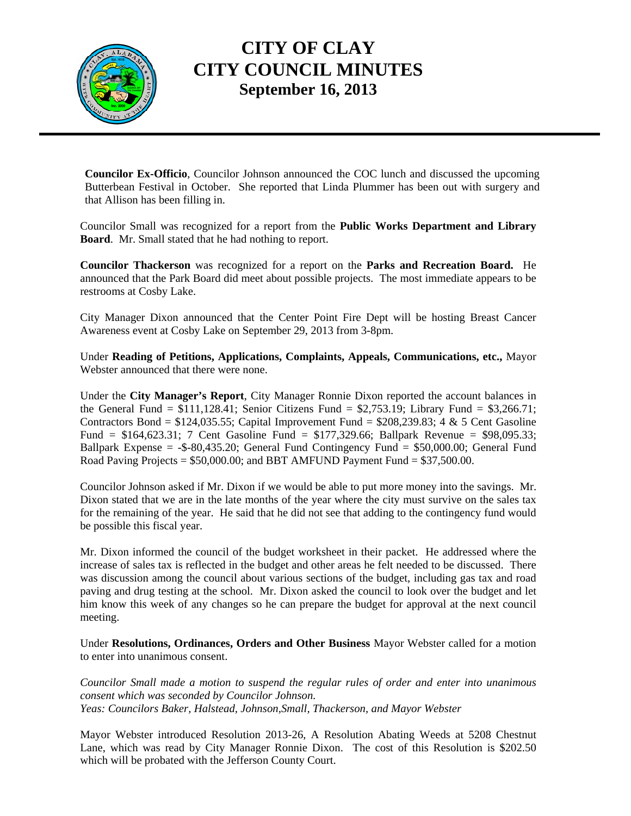

## **CITY OF CLAY CITY COUNCIL MINUTES September 16, 2013**

**Councilor Ex-Officio**, Councilor Johnson announced the COC lunch and discussed the upcoming Butterbean Festival in October. She reported that Linda Plummer has been out with surgery and that Allison has been filling in.

Councilor Small was recognized for a report from the **Public Works Department and Library Board**. Mr. Small stated that he had nothing to report.

**Councilor Thackerson** was recognized for a report on the **Parks and Recreation Board.** He announced that the Park Board did meet about possible projects. The most immediate appears to be restrooms at Cosby Lake.

City Manager Dixon announced that the Center Point Fire Dept will be hosting Breast Cancer Awareness event at Cosby Lake on September 29, 2013 from 3-8pm.

Under **Reading of Petitions, Applications, Complaints, Appeals, Communications, etc.,** Mayor Webster announced that there were none.

Under the **City Manager's Report**, City Manager Ronnie Dixon reported the account balances in the General Fund =  $$111,128.41$ ; Senior Citizens Fund =  $$2,753.19$ ; Library Fund =  $$3,266.71$ ; Contractors Bond =  $$124,035.55$ ; Capital Improvement Fund =  $$208,239.83$ ; 4 & 5 Cent Gasoline Fund = \$164,623.31; 7 Cent Gasoline Fund = \$177,329.66; Ballpark Revenue = \$98,095.33; Ballpark Expense =  $-$ \$-80,435.20; General Fund Contingency Fund = \$50,000.00; General Fund Road Paving Projects =  $$50,000.00$ ; and BBT AMFUND Payment Fund =  $$37,500.00$ .

Councilor Johnson asked if Mr. Dixon if we would be able to put more money into the savings. Mr. Dixon stated that we are in the late months of the year where the city must survive on the sales tax for the remaining of the year. He said that he did not see that adding to the contingency fund would be possible this fiscal year.

Mr. Dixon informed the council of the budget worksheet in their packet. He addressed where the increase of sales tax is reflected in the budget and other areas he felt needed to be discussed. There was discussion among the council about various sections of the budget, including gas tax and road paving and drug testing at the school. Mr. Dixon asked the council to look over the budget and let him know this week of any changes so he can prepare the budget for approval at the next council meeting.

Under **Resolutions, Ordinances, Orders and Other Business** Mayor Webster called for a motion to enter into unanimous consent.

*Councilor Small made a motion to suspend the regular rules of order and enter into unanimous consent which was seconded by Councilor Johnson. Yeas: Councilors Baker, Halstead, Johnson,Small, Thackerson, and Mayor Webster* 

Mayor Webster introduced Resolution 2013-26, A Resolution Abating Weeds at 5208 Chestnut Lane, which was read by City Manager Ronnie Dixon. The cost of this Resolution is \$202.50 which will be probated with the Jefferson County Court.